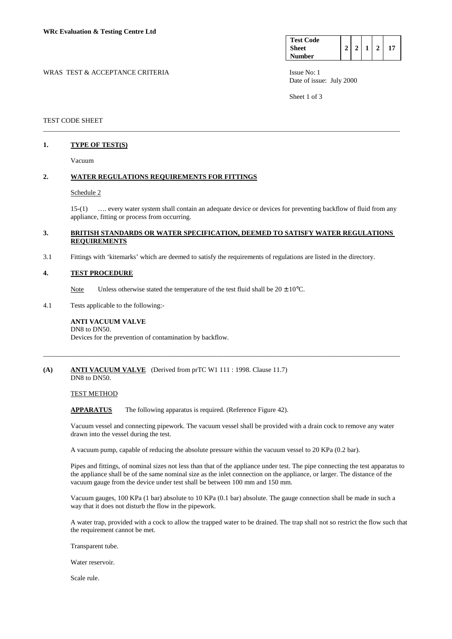| <b>Test Code</b> |  |  |  |
|------------------|--|--|--|
| <b>Sheet</b>     |  |  |  |
| <b>Number</b>    |  |  |  |

WRAS TEST & ACCEPTANCE CRITERIA **ISSUE NO:** 1 ISSUE No: 1 Date of issue: July 2000

Sheet 1 of 3

### TEST CODE SHEET

## **1. TYPE OF TEST(S)**

Vacuum

## **2. WATER REGULATIONS REQUIREMENTS FOR FITTINGS**

#### Schedule 2

 15-(1) …. every water system shall contain an adequate device or devices for preventing backflow of fluid from any appliance, fitting or process from occurring.

### **3. BRITISH STANDARDS OR WATER SPECIFICATION, DEEMED TO SATISFY WATER REGULATIONS REQUIREMENTS**

\_\_\_\_\_\_\_\_\_\_\_\_\_\_\_\_\_\_\_\_\_\_\_\_\_\_\_\_\_\_\_\_\_\_\_\_\_\_\_\_\_\_\_\_\_\_\_\_\_\_\_\_\_\_\_\_\_\_\_\_\_\_\_\_\_\_\_\_\_\_\_\_\_\_\_\_\_\_\_\_\_\_\_\_\_\_\_\_\_\_\_\_\_\_\_\_\_\_\_\_\_\_\_

3.1 Fittings with 'kitemarks' which are deemed to satisfy the requirements of regulations are listed in the directory.

#### **4. TEST PROCEDURE**

Note Unless otherwise stated the temperature of the test fluid shall be  $20 \pm 10^{\circ}$ C.

4.1 Tests applicable to the following:-

#### **ANTI VACUUM VALVE**  DN8 to DN50.

Devices for the prevention of contamination by backflow.

# **(A) ANTI VACUUM VALVE** (Derived from prTC W1 111 : 1998. Clause 11.7)

DN8 to DN50.

## TEST METHOD

APPARATUS The following apparatus is required. (Reference Figure 42).

 Vacuum vessel and connecting pipework. The vacuum vessel shall be provided with a drain cock to remove any water drawn into the vessel during the test.

\_\_\_\_\_\_\_\_\_\_\_\_\_\_\_\_\_\_\_\_\_\_\_\_\_\_\_\_\_\_\_\_\_\_\_\_\_\_\_\_\_\_\_\_\_\_\_\_\_\_\_\_\_\_\_\_\_\_\_\_\_\_\_\_\_\_\_\_\_\_\_\_\_\_\_\_\_\_\_\_\_\_\_\_\_\_\_\_\_\_\_\_\_\_\_\_\_\_\_\_\_\_\_

A vacuum pump, capable of reducing the absolute pressure within the vacuum vessel to 20 KPa (0.2 bar).

 Pipes and fittings, of nominal sizes not less than that of the appliance under test. The pipe connecting the test apparatus to the appliance shall be of the same nominal size as the inlet connection on the appliance, or larger. The distance of the vacuum gauge from the device under test shall be between 100 mm and 150 mm.

 Vacuum gauges, 100 KPa (1 bar) absolute to 10 KPa (0.1 bar) absolute. The gauge connection shall be made in such a way that it does not disturb the flow in the pipework.

 A water trap, provided with a cock to allow the trapped water to be drained. The trap shall not so restrict the flow such that the requirement cannot be met.

Transparent tube.

Water reservoir.

Scale rule.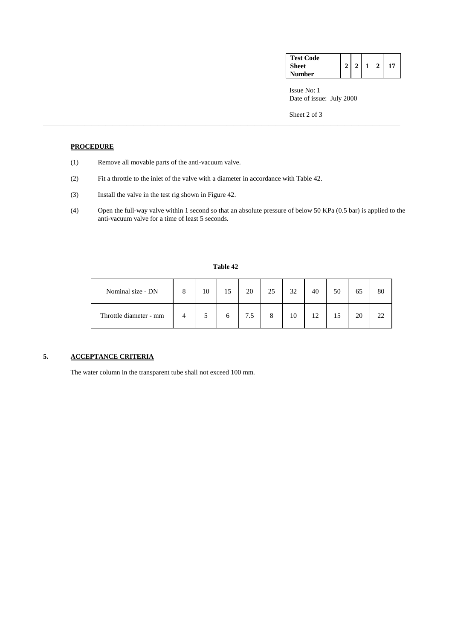| <b>Test Code</b> |   |  |    |
|------------------|---|--|----|
| <b>Sheet</b>     | ↑ |  | 17 |
| Number           |   |  |    |

 Issue No: 1 Date of issue: July 2000

Sheet 2 of 3

## **PROCEDURE**

- (1) Remove all movable parts of the anti-vacuum valve.
- (2) Fit a throttle to the inlet of the valve with a diameter in accordance with Table 42.
- (3) Install the valve in the test rig shown in Figure 42.
- (4) Open the full-way valve within 1 second so that an absolute pressure of below 50 KPa (0.5 bar) is applied to the anti-vacuum valve for a time of least 5 seconds.

### **Table 42**

\_\_\_\_\_\_\_\_\_\_\_\_\_\_\_\_\_\_\_\_\_\_\_\_\_\_\_\_\_\_\_\_\_\_\_\_\_\_\_\_\_\_\_\_\_\_\_\_\_\_\_\_\_\_\_\_\_\_\_\_\_\_\_\_\_\_\_\_\_\_\_\_\_\_\_\_\_\_\_\_\_\_\_\_\_\_\_\_\_\_\_\_\_\_\_\_\_\_\_\_\_\_\_

| Nominal size - DN      | 10 | $\epsilon$   | 20  | 25 | 32 | 40 | 50 | 65 | 80 |
|------------------------|----|--------------|-----|----|----|----|----|----|----|
| Throttle diameter - mm |    | <sub>0</sub> | 7.5 |    | 10 | 12 | 15 | 20 | າາ |

# **5. ACCEPTANCE CRITERIA**

The water column in the transparent tube shall not exceed 100 mm.